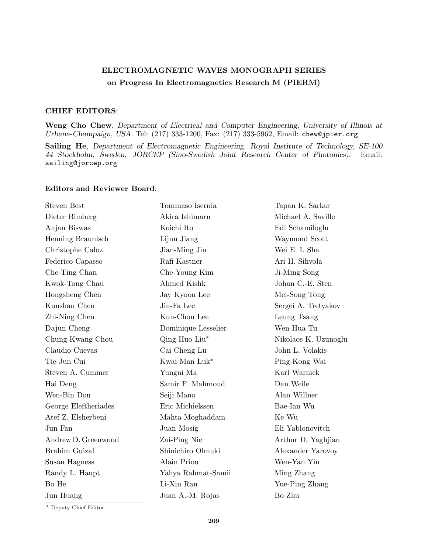## ELECTROMAGNETIC WAVES MONOGRAPH SERIES on Progress In Electromagnetics Research M (PIERM)

## CHIEF EDITORS:

Weng Cho Chew, Department of Electrical and Computer Engineering, University of Illinois at Urbana-Champaign, USA. Tel: (217) 333-1200, Fax: (217) 333-5962, Email: chew@jpier.org

Sailing He, Department of Electromagnetic Engineering, Royal Institute of Technology, SE-100 44 Stockholm, Sweden; JORCEP (Sino-Swedish Joint Research Center of Photonics). Email: sailing@jorcep.org

## Editors and Reviewer Board:

| <b>Steven Best</b>   | Tommaso Isernia     | Tapan K. Sarkar      |
|----------------------|---------------------|----------------------|
| Dieter Bimberg       | Akira Ishimaru      | Michael A. Saville   |
| Anjan Biswas         | Koichi Ito          | Edl Schamiloglu      |
| Henning Braunisch    | Lijun Jiang         | Waymond Scott        |
| Christophe Caloz     | Jian-Ming Jin       | Wei E. I. Sha        |
| Federico Capasso     | Rafi Kastner        | Ari H. Sihvola       |
| Che-Ting Chan        | Che-Young Kim       | Ji-Ming Song         |
| Kwok-Tong Chau       | Ahmed Kishk         | Johan C.-E. Sten     |
| Hongsheng Chen       | Jay Kyoon Lee       | Mei-Song Tong        |
| Kunshan Chen         | Jin-Fa Lee          | Sergei A. Tretyakov  |
| Zhi-Ning Chen        | Kun-Chou Lee        | Leung Tsang          |
| Dajun Cheng          | Dominique Lesselier | Wen-Hua Tu           |
| Chung-Kwang Chou     | Qing-Huo Liu*       | Nikolaos K. Uzunoglu |
| Claudio Cuevas       | Cai-Cheng Lu        | John L. Volakis      |
| Tie-Jun Cui          | Kwai-Man Luk*       | Ping-Kong Wai        |
| Steven A. Cummer     | Yungui Ma           | Karl Warnick         |
| Hai Deng             | Samir F. Mahmoud    | Dan Weile            |
| Wen-Bin Dou          | Seiji Mano          | Alan Willner         |
| George Eleftheriades | Eric Michielssen    | Bae-Ian Wu           |
| Atef Z. Elsherbeni   | Mahta Moghaddam     | Ke Wu                |
| Jun Fan              | Juan Mosig          | Eli Yablonovitch     |
| Andrew D. Greenwood  | Zai-Ping Nie        | Arthur D. Yaghjian   |
| Brahim Guizal        | Shinichiro Ohnuki   | Alexander Yarovoy    |
| Susan Hagness        | Alain Priou         | Wen-Yan Yin          |
| Randy L. Haupt       | Yahya Rahmat-Samii  | Ming Zhang           |
| Bo He                | Li-Xin Ran          | Yue-Ping Zhang       |
| Jun Huang            | Juan A.-M. Rojas    | Bo Zhu               |
|                      |                     |                      |

<sup>∗</sup> Deputy Chief Editor